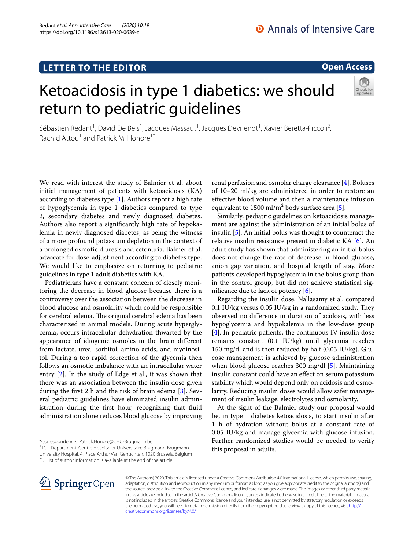Redant *et al. Ann. Intensive Care (2020) 10:19* 

# **Open Access**

# Ketoacidosis in type 1 diabetics: we should return to pediatric guidelines



Sébastien Redant<sup>1</sup>, David De Bels<sup>1</sup>, Jacques Massaut<sup>1</sup>, Jacques Devriendt<sup>1</sup>, Xavier Beretta-Piccoli<sup>2</sup>, Rachid Attou<sup>1</sup> and Patrick M. Honore<sup>1\*</sup>

We read with interest the study of Balmier et al. about initial management of patients with ketoacidosis (KA) according to diabetes type [[1\]](#page-1-0). Authors report a high rate of hypoglycemia in type 1 diabetics compared to type 2, secondary diabetes and newly diagnosed diabetes. Authors also report a signifcantly high rate of hypokalemia in newly diagnosed diabetes, as being the witness of a more profound potassium depletion in the context of a prolonged osmotic diuresis and cetonuria. Balmer et al. advocate for dose-adjustment according to diabetes type. We would like to emphasize on returning to pediatric guidelines in type 1 adult diabetics with KA.

Pediatricians have a constant concern of closely monitoring the decrease in blood glucose because there is a controversy over the association between the decrease in blood glucose and osmolarity which could be responsible for cerebral edema. The original cerebral edema has been characterized in animal models. During acute hyperglycemia, occurs intracellular dehydration thwarted by the appearance of idiogenic osmoles in the brain diferent from lactate, urea, sorbitol, amino acids, and myoinositol. During a too rapid correction of the glycemia then follows an osmotic imbalance with an intracellular water entry [\[2\]](#page-1-1). In the study of Edge et al., it was shown that there was an association between the insulin dose given during the frst 2 h and the risk of brain edema [\[3](#page-1-2)]. Several pediatric guidelines have eliminated insulin administration during the frst hour, recognizing that fuid administration alone reduces blood glucose by improving

<sup>1</sup> ICU Department, Centre Hospitalier Universitaire Brugmann-Brugmann University Hospital, 4, Place Arthur Van Gehuchten, 1020 Brussels, Belgium Full list of author information is available at the end of the article

renal perfusion and osmolar charge clearance [[4\]](#page-1-3). Boluses of 10–20 ml/kg are administered in order to restore an efective blood volume and then a maintenance infusion equivalent to  $1500 \text{ ml/m}^2$  body surface area [\[5](#page-1-4)].

Similarly, pediatric guidelines on ketoacidosis management are against the administration of an initial bolus of insulin [\[5](#page-1-4)]. An initial bolus was thought to counteract the relative insulin resistance present in diabetic KA [[6\]](#page-1-5). An adult study has shown that administering an initial bolus does not change the rate of decrease in blood glucose, anion gap variation, and hospital length of stay. More patients developed hypoglycemia in the bolus group than in the control group, but did not achieve statistical signifcance due to lack of potency [\[6](#page-1-5)].

Regarding the insulin dose, Nallasamy et al. compared 0.1 IU/kg versus  $0.05$  IU/kg in a randomized study. They observed no diference in duration of acidosis, with less hypoglycemia and hypokalemia in the low-dose group [[4\]](#page-1-3). In pediatric patients, the continuous IV insulin dose remains constant (0.1 IU/kg) until glycemia reaches 150 mg/dl and is then reduced by half (0.05 IU/kg). Glucose management is achieved by glucose administration when blood glucose reaches 300 mg/dl [[5\]](#page-1-4). Maintaining insulin constant could have an efect on serum potassium stability which would depend only on acidosis and osmolarity. Reducing insulin doses would allow safer management of insulin leakage, electrolytes and osmolarity.

At the sight of the Balmier study our proposal would be, in type 1 diabetes ketoacidosis, to start insulin after 1 h of hydration without bolus at a constant rate of 0.05 IU/kg and manage glycemia with glucose infusion. Further randomized studies would be needed to verify this proposal in adults.



© The Author(s) 2020. This article is licensed under a Creative Commons Attribution 4.0 International License, which permits use, sharing, adaptation, distribution and reproduction in any medium or format, as long as you give appropriate credit to the original author(s) and the source, provide a link to the Creative Commons licence, and indicate if changes were made. The images or other third party material in this article are included in the article's Creative Commons licence, unless indicated otherwise in a credit line to the material. If material is not included in the article's Creative Commons licence and your intended use is not permitted by statutory regulation or exceeds the permitted use, you will need to obtain permission directly from the copyright holder. To view a copy of this licence, visit [http://](http://creativecommons.org/licenses/by/4.0/) [creativecommons.org/licenses/by/4.0/.](http://creativecommons.org/licenses/by/4.0/)

<sup>\*</sup>Correspondence: Patrick.Honore@CHU‑Brugmann.be